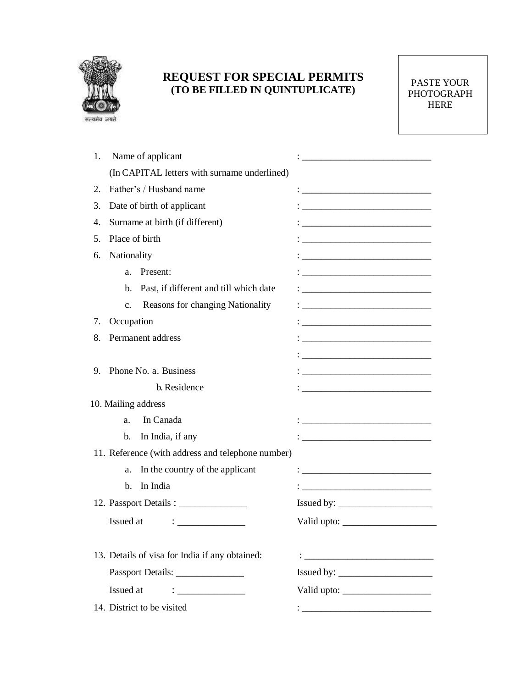

## **REQUEST FOR SPECIAL PERMITS (TO BE FILLED IN QUINTUPLICATE)** PASTE YOUR

PHOTOGRAPH HERE

| 1.                                             | Name of applicant                                                            |                                                                                                                                                                                                                                                                                                                  |
|------------------------------------------------|------------------------------------------------------------------------------|------------------------------------------------------------------------------------------------------------------------------------------------------------------------------------------------------------------------------------------------------------------------------------------------------------------|
|                                                | (In CAPITAL letters with surname underlined)                                 |                                                                                                                                                                                                                                                                                                                  |
| 2.                                             | Father's / Husband name                                                      |                                                                                                                                                                                                                                                                                                                  |
| 3.                                             | Date of birth of applicant                                                   | <u> 1980 - Jan James James Jan James James James James James James James James James James James James James Jam</u>                                                                                                                                                                                             |
| 4.                                             | Surname at birth (if different)                                              | <u> 1989 - Johann Barn, amerikansk politiker (d. 1989)</u>                                                                                                                                                                                                                                                       |
| 5.                                             | Place of birth                                                               |                                                                                                                                                                                                                                                                                                                  |
| 6.                                             | Nationality                                                                  |                                                                                                                                                                                                                                                                                                                  |
|                                                | Present:<br>a.                                                               | <u> 1989 - Johann Harry Harry Harry Harry Harry Harry Harry Harry Harry Harry Harry Harry Harry Harry Harry Harry</u>                                                                                                                                                                                            |
|                                                | Past, if different and till which date<br>b.                                 | <u> 1989 - Jan James James Jan James James James James James James James James James James James James James James Ja</u>                                                                                                                                                                                        |
|                                                | Reasons for changing Nationality<br>c.                                       | <u> 1980 - Jan Barbara, martin amerikan basar da</u>                                                                                                                                                                                                                                                             |
| 7.                                             | Occupation                                                                   | <u> 1989 - Johann Harry Harry Harry Harry Harry Harry Harry Harry Harry Harry Harry Harry Harry Harry Harry Harry</u>                                                                                                                                                                                            |
| 8.                                             | Permanent address                                                            |                                                                                                                                                                                                                                                                                                                  |
|                                                |                                                                              |                                                                                                                                                                                                                                                                                                                  |
| 9.                                             | Phone No. a. Business                                                        |                                                                                                                                                                                                                                                                                                                  |
|                                                | b. Residence                                                                 | <u> 1980 - Jan James James Barbara, martxa eta bat zen arteko hamarkada (h. 1980).</u>                                                                                                                                                                                                                           |
|                                                | 10. Mailing address                                                          |                                                                                                                                                                                                                                                                                                                  |
|                                                | In Canada<br>a.                                                              | : <u>______________________________</u>                                                                                                                                                                                                                                                                          |
|                                                | In India, if any<br>b.                                                       |                                                                                                                                                                                                                                                                                                                  |
|                                                | 11. Reference (with address and telephone number)                            |                                                                                                                                                                                                                                                                                                                  |
|                                                | In the country of the applicant<br>a.                                        |                                                                                                                                                                                                                                                                                                                  |
|                                                | In India<br>$\mathbf{b}$ .                                                   | $\ddot{\hspace{1cm}}$ . The contract of the contract of the contract of the contract of the contract of the contract of the contract of the contract of the contract of the contract of the contract of the contract of the contract o                                                                           |
|                                                |                                                                              |                                                                                                                                                                                                                                                                                                                  |
|                                                | Issued at<br>$\ddot{\cdot}$ . The contract of the contract of $\ddot{\cdot}$ | Valid upto: $\sqrt{\frac{2}{\pi}}$                                                                                                                                                                                                                                                                               |
|                                                |                                                                              |                                                                                                                                                                                                                                                                                                                  |
| 13. Details of visa for India if any obtained: |                                                                              |                                                                                                                                                                                                                                                                                                                  |
|                                                |                                                                              | Issued by: $\frac{1}{2}$ $\frac{1}{2}$ $\frac{1}{2}$ $\frac{1}{2}$ $\frac{1}{2}$ $\frac{1}{2}$ $\frac{1}{2}$ $\frac{1}{2}$ $\frac{1}{2}$ $\frac{1}{2}$ $\frac{1}{2}$ $\frac{1}{2}$ $\frac{1}{2}$ $\frac{1}{2}$ $\frac{1}{2}$ $\frac{1}{2}$ $\frac{1}{2}$ $\frac{1}{2}$ $\frac{1}{2}$ $\frac{1}{2}$ $\frac{1}{2}$ |
|                                                | Issued at<br>$\mathcal{L} = \frac{1}{\sqrt{2\pi}}$                           |                                                                                                                                                                                                                                                                                                                  |
|                                                | 14. District to be visited                                                   |                                                                                                                                                                                                                                                                                                                  |